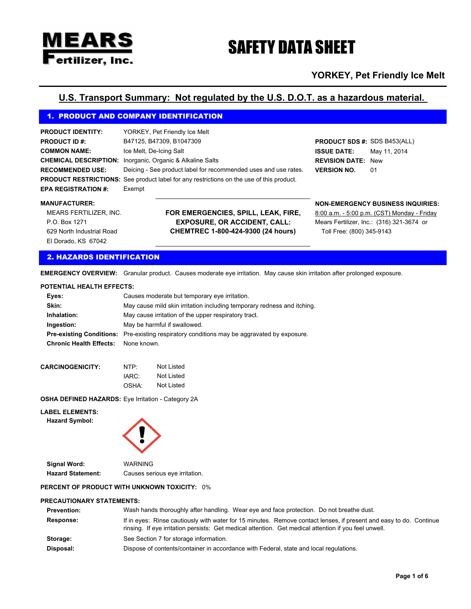# MEARS **Pertilizer, Inc.**

# SAFETY DATA SHEET

# **YORKEY, Pet Friendly Ice Melt**

# **U.S. Transport Summary: Not regulated by the U.S. D.O.T. as a hazardous material.**

# 1. PRODUCT AND COMPANY IDENTIFICATION

| <b>PRODUCT IDENTITY:</b>   | YORKEY, Pet Friendly Ice Melt                                                                   |                                     |              |
|----------------------------|-------------------------------------------------------------------------------------------------|-------------------------------------|--------------|
| <b>PRODUCT ID #:</b>       | B47125, B47309, B1047309                                                                        | <b>PRODUCT SDS #: SDS B453(ALL)</b> |              |
| <b>COMMON NAME:</b>        | Ice Melt, De-Icing Salt                                                                         | <b>ISSUE DATE:</b>                  | Mav 11, 2014 |
|                            | <b>CHEMICAL DESCRIPTION:</b> Inorganic, Organic & Alkaline Salts                                | <b>REVISION DATE: New</b>           |              |
| <b>RECOMMENDED USE:</b>    | Deicing - See product label for recommended uses and use rates.                                 | <b>VERSION NO.</b>                  | 01           |
|                            | <b>PRODUCT RESTRICTIONS:</b> See product label for any restrictions on the use of this product. |                                     |              |
| <b>EPA REGISTRATION #:</b> | Exempt                                                                                          |                                     |              |

El Dorado, KS 67042 MEARS FERTILIZER, INC. P.O. Box 1271 629 North Industrial Road

**FOR EMERGENCIES, SPILL, LEAK, FIRE, EXPOSURE, OR ACCIDENT, CALL: CHEMTREC 1-800-424-9300 (24 hours)**

#### **MANUFACTURER: NON-EMERGENCY BUSINESS INQUIRIES:**

Mears Fertilizer, Inc.: (316) 321-3674 or 8:00 a.m. - 5:00 p.m. (CST) Monday - Friday Toll Free: (800) 345-9143

### 2. HAZARDS IDENTIFICATION

**EMERGENCY OVERVIEW:** Granular product. Causes moderate eye irritation. May cause skin irritation after prolonged exposure.

#### **POTENTIAL HEALTH EFFECTS:**

| Eves:                                      | Causes moderate but temporary eye irritation.                                                      |
|--------------------------------------------|----------------------------------------------------------------------------------------------------|
| Skin:                                      | May cause mild skin irritation including temporary redness and itching.                            |
| Inhalation:                                | May cause irritation of the upper respiratory tract.                                               |
| Ingestion:                                 | May be harmful if swallowed.                                                                       |
|                                            | <b>Pre-existing Conditions:</b> Pre-existing respiratory conditions may be aggravated by exposure. |
| <b>Chronic Health Effects:</b> None known. |                                                                                                    |

| <b>CARCINOGENICITY:</b> | NTP   | Not Listed |
|-------------------------|-------|------------|
|                         | IARC: | Not Listed |
|                         | OSHA: | Not Listed |

**OSHA DEFINED HAZARDS:** Eye Irritation - Category 2A

#### **LABEL ELEMENTS:**

**Hazard Symbol:**



**Signal Word:** WARNING

**Hazard Statement:** Causes serious eye irritation.

#### **PERCENT OF PRODUCT WITH UNKNOWN TOXICITY:** 0%

#### **PRECAUTIONARY STATEMENTS:**

| <b>Prevention:</b> | Wash hands thoroughly after handling. Wear eye and face protection. Do not breathe dust.                                                                                                                                    |
|--------------------|-----------------------------------------------------------------------------------------------------------------------------------------------------------------------------------------------------------------------------|
| Response:          | If in eyes: Rinse cautiously with water for 15 minutes. Remove contact lenses, if present and easy to do. Continue<br>rinsing. If eye irritation persists: Get medical attention. Get medical attention if you feel unwell. |
| Storage:           | See Section 7 for storage information.                                                                                                                                                                                      |
| Disposal:          | Dispose of contents/container in accordance with Federal, state and local regulations.                                                                                                                                      |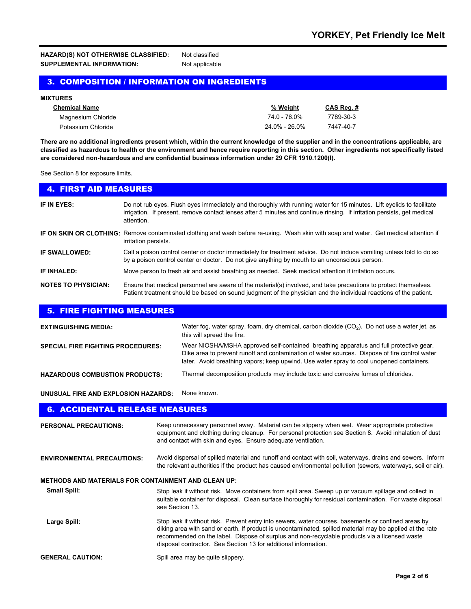**HAZARD(S) NOT OTHERWISE CLASSIFIED:** Not classified **SUPPLEMENTAL INFORMATION:** Not applicable

# 3. COMPOSITION / INFORMATION ON INGREDIENTS

| <b>MIXTURES</b>      |               |           |  |  |
|----------------------|---------------|-----------|--|--|
| <b>Chemical Name</b> | % Weight      | CAS Reg.# |  |  |
| Magnesium Chloride   | 74.0 - 76.0%  | 7789-30-3 |  |  |
| Potassium Chloride   | 24.0% - 26.0% | 7447-40-7 |  |  |

**There are no additional ingredients present which, within the current knowledge of the supplier and in the concentrations applicable, are classified as hazardous to health or the environment and hence require reporting in this section. Other ingredients not specifically listed are considered non-hazardous and are confidential business information under 29 CFR 1910.1200(I).** 

See Section 8 for exposure limits.

| <b>4. FIRST AID MEASURES</b> |                                                                                                                                                                                                                                                               |
|------------------------------|---------------------------------------------------------------------------------------------------------------------------------------------------------------------------------------------------------------------------------------------------------------|
| IF IN EYES:                  | Do not rub eyes. Flush eyes immediately and thoroughly with running water for 15 minutes. Lift eyelids to facilitate<br>irrigation. If present, remove contact lenses after 5 minutes and continue rinsing. If irritation persists, get medical<br>attention. |
|                              | IF ON SKIN OR CLOTHING: Remove contaminated clothing and wash before re-using. Wash skin with soap and water. Get medical attention if<br>irritation persists.                                                                                                |
| IF SWALLOWED:                | Call a poison control center or doctor immediately for treatment advice. Do not induce vomiting unless told to do so<br>by a poison control center or doctor. Do not give anything by mouth to an unconscious person.                                         |
| IF INHALED:                  | Move person to fresh air and assist breathing as needed. Seek medical attention if irritation occurs.                                                                                                                                                         |
| <b>NOTES TO PHYSICIAN:</b>   | Ensure that medical personnel are aware of the material(s) involved, and take precautions to protect themselves.<br>Patient treatment should be based on sound judgment of the physician and the individual reactions of the patient.                         |

| <b>5. FIRE FIGHTING MEASURES</b>         |                                                                                                                                                                                                                                                                                     |
|------------------------------------------|-------------------------------------------------------------------------------------------------------------------------------------------------------------------------------------------------------------------------------------------------------------------------------------|
| <b>EXTINGUISHING MEDIA:</b>              | Water fog, water spray, foam, dry chemical, carbon dioxide $(CO2)$ . Do not use a water jet, as<br>this will spread the fire.                                                                                                                                                       |
| <b>SPECIAL FIRE FIGHTING PROCEDURES:</b> | Wear NIOSHA/MSHA approved self-contained breathing apparatus and full protective gear.<br>Dike area to prevent runoff and contamination of water sources. Dispose of fire control water<br>later. Avoid breathing vapors; keep upwind. Use water spray to cool unopened containers. |
| <b>HAZARDOUS COMBUSTION PRODUCTS:</b>    | Thermal decomposition products may include toxic and corrosive fumes of chlorides.                                                                                                                                                                                                  |

**UNUSUAL FIRE AND EXPLOSION HAZARDS:** None known.

# 6. ACCIDENTAL RELEASE MEASURES

| <b>PERSONAL PRECAUTIONS:</b>                               | Keep unnecessary personnel away. Material can be slippery when wet. Wear appropriate protective<br>equipment and clothing during cleanup. For personal protection see Section 8. Avoid inhalation of dust<br>and contact with skin and eyes. Ensure adequate ventilation.                                                                                                            |
|------------------------------------------------------------|--------------------------------------------------------------------------------------------------------------------------------------------------------------------------------------------------------------------------------------------------------------------------------------------------------------------------------------------------------------------------------------|
| <b>ENVIRONMENTAL PRECAUTIONS:</b>                          | Avoid dispersal of spilled material and runoff and contact with soil, waterways, drains and sewers. Inform<br>the relevant authorities if the product has caused environmental pollution (sewers, waterways, soil or air).                                                                                                                                                           |
| <b>METHODS AND MATERIALS FOR CONTAINMENT AND CLEAN UP:</b> |                                                                                                                                                                                                                                                                                                                                                                                      |
| <b>Small Spill:</b>                                        | Stop leak if without risk. Move containers from spill area. Sweep up or vacuum spillage and collect in<br>suitable container for disposal. Clean surface thoroughly for residual contamination. For waste disposal<br>see Section 13.                                                                                                                                                |
| Large Spill:                                               | Stop leak if without risk. Prevent entry into sewers, water courses, basements or confined areas by<br>diking area with sand or earth. If product is uncontaminated, spilled material may be applied at the rate<br>recommended on the label. Dispose of surplus and non-recyclable products via a licensed waste<br>disposal contractor. See Section 13 for additional information. |
| <b>GENERAL CAUTION:</b>                                    | Spill area may be quite slippery.                                                                                                                                                                                                                                                                                                                                                    |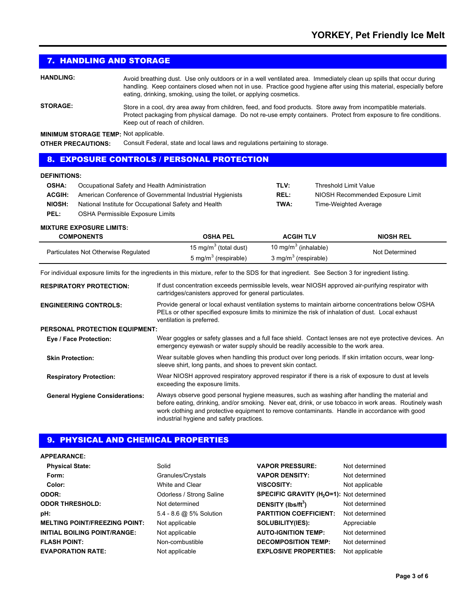# 7. HANDLING AND STORAGE

**HANDLING:** Avoid breathing dust. Use only outdoors or in a well ventilated area. Immediately clean up spills that occur during handling. Keep containers closed when not in use. Practice good hygiene after using this material, especially before eating, drinking, smoking, using the toilet, or applying cosmetics.

**STORAGE:** Store in a cool, dry area away from children, feed, and food products. Store away from incompatible materials. Protect packaging from physical damage. Do not re-use empty containers. Protect from exposure to fire conditions. Keep out of reach of children.

**MINIMUM STORAGE TEMP:** Not applicable.

**OTHER PRECAUTIONS:** Consult Federal, state and local laws and regulations pertaining to storage.

#### 8. EXPOSURE CONTROLS / PERSONAL PROTECTION

#### **DEFINITIONS:**

| <b>OSHA:</b>  | Occupational Safety and Health Administration             | TLV:        | Threshold Limit Value            |
|---------------|-----------------------------------------------------------|-------------|----------------------------------|
| <b>ACGIH:</b> | American Conference of Governmental Industrial Hygienists | <b>REL:</b> | NIOSH Recommended Exposure Limit |
| NIOSH:        | National Institute for Occupational Safety and Health     | TWA:        | Time-Weighted Average            |
| PEL:          | OSHA Permissible Exposure Limits                          |             |                                  |

#### **MIXTURE EXPOSURE LIMITS:**

| <b>COMPONENTS</b>                    | <b>OSHA PEL</b>                   | <b>ACGIH TLV</b>                 | <b>NIOSH REL</b> |
|--------------------------------------|-----------------------------------|----------------------------------|------------------|
| Particulates Not Otherwise Regulated | 15 mg/m <sup>3</sup> (total dust) | 10 mg/m <sup>3</sup> (inhalable) | Not Determined   |
|                                      | 5 mg/m <sup>3</sup> (respirable)  | 3 mg/m <sup>3</sup> (respirable) |                  |

For individual exposure limits for the ingredients in this mixture, refer to the SDS for that ingredient. See Section 3 for ingredient listing.

| <b>RESPIRATORY PROTECTION:</b>         | If dust concentration exceeds permissible levels, wear NIOSH approved air-purifying respirator with<br>cartridges/canisters approved for general particulates.                                                                                                                                                                                         |
|----------------------------------------|--------------------------------------------------------------------------------------------------------------------------------------------------------------------------------------------------------------------------------------------------------------------------------------------------------------------------------------------------------|
| <b>ENGINEERING CONTROLS:</b>           | Provide general or local exhaust ventilation systems to maintain airborne concentrations below OSHA<br>PELs or other specified exposure limits to minimize the risk of inhalation of dust. Local exhaust<br>ventilation is preferred.                                                                                                                  |
| <b>PERSONAL PROTECTION EQUIPMENT:</b>  |                                                                                                                                                                                                                                                                                                                                                        |
| Eye / Face Protection:                 | Wear goggles or safety glasses and a full face shield. Contact lenses are not eye protective devices. An<br>emergency eyewash or water supply should be readily accessible to the work area.                                                                                                                                                           |
| <b>Skin Protection:</b>                | Wear suitable gloves when handling this product over long periods. If skin irritation occurs, wear long-<br>sleeve shirt, long pants, and shoes to prevent skin contact.                                                                                                                                                                               |
| <b>Respiratory Protection:</b>         | Wear NIOSH approved respiratory approved respirator if there is a risk of exposure to dust at levels<br>exceeding the exposure limits.                                                                                                                                                                                                                 |
| <b>General Hygiene Considerations:</b> | Always observe good personal hygiene measures, such as washing after handling the material and<br>before eating, drinking, and/or smoking. Never eat, drink, or use tobacco in work areas. Routinely wash<br>work clothing and protective equipment to remove contaminants. Handle in accordance with good<br>industrial hygiene and safety practices. |

# 9. PHYSICAL AND CHEMICAL PROPERTIES

#### **APPEARANCE:**

| <b>Physical State:</b>               | Solid                    | <b>VAPOR PRESSURE:</b>                                | Not determined |
|--------------------------------------|--------------------------|-------------------------------------------------------|----------------|
| Form:                                | Granules/Crystals        | <b>VAPOR DENSITY:</b>                                 | Not determined |
| Color:                               | White and Clear          | <b>VISCOSITY:</b>                                     | Not applicable |
| <b>ODOR:</b>                         | Odorless / Strong Saline | SPECIFIC GRAVITY (H <sub>2</sub> O=1): Not determined |                |
| <b>ODOR THRESHOLD:</b>               | Not determined           | DENSITY (lbs/ft <sup>3</sup> )                        | Not determined |
| pH:                                  | 5.4 - 8.6 @ 5% Solution  | <b>PARTITION COEFFICIENT:</b>                         | Not determined |
| <b>MELTING POINT/FREEZING POINT:</b> | Not applicable           | <b>SOLUBILITY(IES):</b>                               | Appreciable    |
| <b>INITIAL BOILING POINT/RANGE:</b>  | Not applicable           | <b>AUTO-IGNITION TEMP:</b>                            | Not determined |
| <b>FLASH POINT:</b>                  | Non-combustible          | <b>DECOMPOSITION TEMP:</b>                            | Not determined |
| <b>EVAPORATION RATE:</b>             | Not applicable           | <b>EXPLOSIVE PROPERTIES:</b>                          | Not applicable |
|                                      |                          |                                                       |                |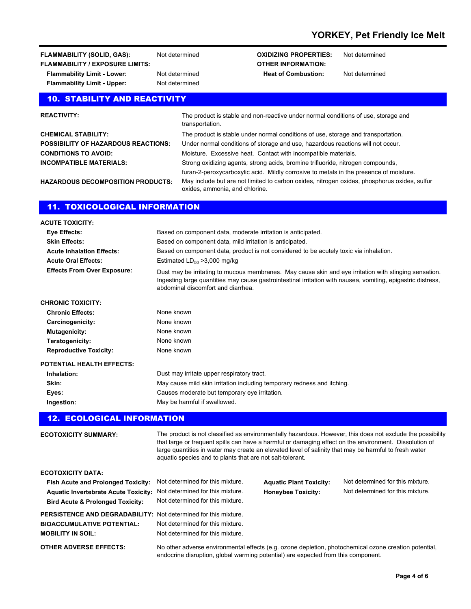| <b>FLAMMABILITY (SOLID, GAS):</b>      | N |
|----------------------------------------|---|
| <b>FLAMMABILITY / EXPOSURE LIMITS:</b> |   |
| <b>Flammability Limit - Lower:</b>     | N |
| <b>Flammability Limit - Upper:</b>     | N |

**ot** determined

## **FLAMMABILITY (FLAMMA): FLAMMABILITY (FLAMMABILITY) CXIDIZING PROPERTIES:** Not determined **OTHER INFORMATION: Flammability Limit Albert - Lower Heat of Combustion:** Not determined

# 10. STABILITY AND REACTIVITY

| <b>REACTIVITY:</b>                         | The product is stable and non-reactive under normal conditions of use, storage and<br>transportation. |
|--------------------------------------------|-------------------------------------------------------------------------------------------------------|
| <b>CHEMICAL STABILITY:</b>                 | The product is stable under normal conditions of use, storage and transportation.                     |
| <b>POSSIBILITY OF HAZARDOUS REACTIONS:</b> | Under normal conditions of storage and use, hazardous reactions will not occur.                       |
| <b>CONDITIONS TO AVOID:</b>                | Moisture. Excessive heat. Contact with incompatible materials.                                        |
| <b>INCOMPATIBLE MATERIALS:</b>             | Strong oxidizing agents, strong acids, bromine trifluoride, nitrogen compounds,                       |
|                                            | furan-2-peroxycarboxylic acid. Mildly corrosive to metals in the presence of moisture.                |
| <b>HAZARDOUS DECOMPOSITION PRODUCTS:</b>   | May include but are not limited to carbon oxides nitrogen oxides phosphorus oxides sulfur             |

**HAZARDOUS DECOMPOSITION PRODUCTS:**

May include but are not limited to carbon oxides, nitrogen oxides, phosphorus oxides, sulfur oxides, ammonia, and chlorine.

# 11. TOXICOLOGICAL INFORMATION

| <b>ACUTE TOXICITY:</b>             |                                                                                                                                                                                                                                                              |
|------------------------------------|--------------------------------------------------------------------------------------------------------------------------------------------------------------------------------------------------------------------------------------------------------------|
| Eye Effects:                       | Based on component data, moderate irritation is anticipated.                                                                                                                                                                                                 |
| <b>Skin Effects:</b>               | Based on component data, mild irritation is anticipated.                                                                                                                                                                                                     |
| <b>Acute Inhalation Effects:</b>   | Based on component data, product is not considered to be acutely toxic via inhalation.                                                                                                                                                                       |
| <b>Acute Oral Effects:</b>         | Estimated $LD_{50} > 3,000$ mg/kg                                                                                                                                                                                                                            |
| <b>Effects From Over Exposure:</b> | Dust may be irritating to mucous membranes. May cause skin and eye irritation with stinging sensation.<br>Ingesting large quantities may cause gastrointestinal irritation with nausea, vomiting, epigastric distress,<br>abdominal discomfort and diarrhea. |
| <b>CHRONIC TOXICITY:</b>           |                                                                                                                                                                                                                                                              |
| <b>Chronic Effects:</b>            | None known                                                                                                                                                                                                                                                   |
| Carcinogenicity:                   | None known                                                                                                                                                                                                                                                   |
| Mutagenicity:                      | None known                                                                                                                                                                                                                                                   |
| Teratogenicity:                    | None known                                                                                                                                                                                                                                                   |
| <b>Reproductive Toxicity:</b>      | None known                                                                                                                                                                                                                                                   |
| <b>POTENTIAL HEALTH EFFECTS:</b>   |                                                                                                                                                                                                                                                              |
| Inhalation:                        | Dust may irritate upper respiratory tract.                                                                                                                                                                                                                   |
| Skin:                              | May cause mild skin irritation including temporary redness and itching.                                                                                                                                                                                      |
| Eyes:                              | Causes moderate but temporary eye irritation.                                                                                                                                                                                                                |
| Ingestion:                         | May be harmful if swallowed.                                                                                                                                                                                                                                 |

# 12. ECOLOGICAL INFORMATION

| <b>ECOTOXICITY SUMMARY:</b>                                                                                                                                                                   | The product is not classified as environmentally hazardous. However, this does not exclude the possibility<br>that large or frequent spills can have a harmful or damaging effect on the environment. Dissolution of<br>large quantities in water may create an elevated level of salinity that may be harmful to fresh water<br>aquatic species and to plants that are not salt-tolerant. |                                                             |                                                                      |  |
|-----------------------------------------------------------------------------------------------------------------------------------------------------------------------------------------------|--------------------------------------------------------------------------------------------------------------------------------------------------------------------------------------------------------------------------------------------------------------------------------------------------------------------------------------------------------------------------------------------|-------------------------------------------------------------|----------------------------------------------------------------------|--|
| <b>ECOTOXICITY DATA:</b><br><b>Fish Acute and Prolonged Toxicity:</b><br>Aquatic Invertebrate Acute Toxicity: Not determined for this mixture.<br><b>Bird Acute &amp; Prolonged Toxicity:</b> | Not determined for this mixture.<br>Not determined for this mixture.                                                                                                                                                                                                                                                                                                                       | <b>Aquatic Plant Toxicity:</b><br><b>Honeybee Toxicity:</b> | Not determined for this mixture.<br>Not determined for this mixture. |  |
| <b>PERSISTENCE AND DEGRADABILITY:</b> Not determined for this mixture.<br><b>BIOACCUMULATIVE POTENTIAL:</b><br><b>MOBILITY IN SOIL:</b><br><b>OTHER ADVERSE EFFECTS:</b>                      | Not determined for this mixture.<br>Not determined for this mixture.<br>No other adverse environmental effects (e.g. ozone depletion, photochemical ozone creation potential,                                                                                                                                                                                                              |                                                             |                                                                      |  |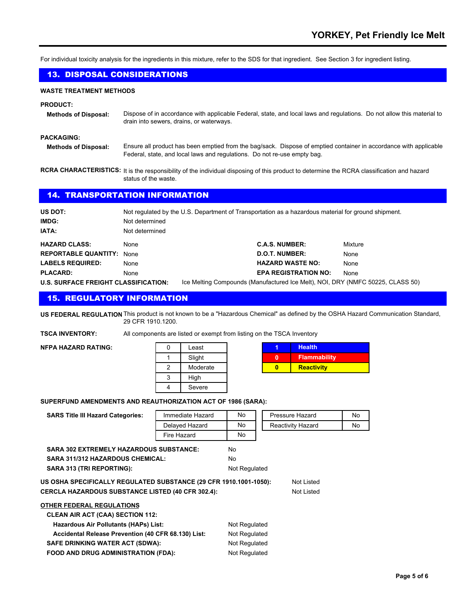For individual toxicity analysis for the ingredients in this mixture, refer to the SDS for that ingredient. See Section 3 for ingredient listing.

#### 13. DISPOSAL CONSIDERATIONS

#### **WASTE TREATMENT METHODS**

#### **PRODUCT:**

**Methods of Disposal:** Dispose of in accordance with applicable Federal, state, and local laws and regulations. Do not allow this material to drain into sewers, drains, or waterways.

#### **PACKAGING:**

**Methods of Disposal:** Ensure all product has been emptied from the bag/sack. Dispose of emptied container in accordance with applicable Federal, state, and local laws and regulations. Do not re-use empty bag.

RCRA CHARACTERISTICS: It is the responsibility of the individual disposing of this product to determine the RCRA classification and hazard status of the waste.

#### 14. TRANSPORTATION INFORMATION

| US DOT:                                     | Not regulated by the U.S. Department of Transportation as a hazardous material for ground shipment. |                                                                                |         |
|---------------------------------------------|-----------------------------------------------------------------------------------------------------|--------------------------------------------------------------------------------|---------|
| IMDG:                                       | Not determined                                                                                      |                                                                                |         |
| <b>IATA:</b>                                | Not determined                                                                                      |                                                                                |         |
| <b>HAZARD CLASS:</b>                        | None                                                                                                | <b>C.A.S. NUMBER:</b>                                                          | Mixture |
| <b>REPORTABLE QUANTITY: None</b>            |                                                                                                     | <b>D.O.T. NUMBER:</b>                                                          | None    |
| <b>LABELS REQUIRED:</b>                     | None                                                                                                | <b>HAZARD WASTE NO:</b>                                                        | None    |
| <b>PLACARD:</b>                             | None                                                                                                | <b>EPA REGISTRATION NO:</b>                                                    | None    |
| <b>U.S. SURFACE FREIGHT CLASSIFICATION:</b> |                                                                                                     | Ice Melting Compounds (Manufactured Ice Melt), NOI, DRY (NMFC 50225, CLASS 50) |         |

# 15. REGULATORY INFORMATION

**US FEDERAL REGULATION** This product is not known to be a "Hazardous Chemical" as defined by the OSHA Hazard Communication Standard, 29 CFR 1910.1200.

**TSCA INVENTORY:** All components are listed or exempt from listing on the TSCA Inventory

**NFPA HAZARD RATING:** 

| Least    |  |
|----------|--|
| Slight   |  |
| Moderate |  |
| High     |  |
| Severe   |  |

| <b>Health</b>       |
|---------------------|
| <b>Flammability</b> |
| <b>Reactivity</b>   |

#### **SUPERFUND AMENDMENTS AND REAUTHORIZATION ACT OF 1986 (SARA):**

| <b>SARS Title III Hazard Categories:</b>                                                                                                                   | Immediate Hazard | No            |  | Pressure Hazard          | No |
|------------------------------------------------------------------------------------------------------------------------------------------------------------|------------------|---------------|--|--------------------------|----|
|                                                                                                                                                            | Delayed Hazard   | No.           |  | Reactivity Hazard        | No |
|                                                                                                                                                            | Fire Hazard      | No            |  |                          |    |
| <b>SARA 302 EXTREMELY HAZARDOUS SUBSTANCE:</b>                                                                                                             |                  | No.           |  |                          |    |
| <b>SARA 311/312 HAZARDOUS CHEMICAL:</b>                                                                                                                    |                  | No.           |  |                          |    |
| <b>SARA 313 (TRI REPORTING):</b><br>Not Regulated                                                                                                          |                  |               |  |                          |    |
| US OSHA SPECIFICALLY REGULATED SUBSTANCE (29 CFR 1910.1001-1050):<br>CERCLA HAZARDOUS SUBSTANCE LISTED (40 CFR 302.4):<br><b>OTHER FEDERAL REGULATIONS</b> |                  |               |  | Not Listed<br>Not Listed |    |
| <b>CLEAN AIR ACT (CAA) SECTION 112:</b>                                                                                                                    |                  |               |  |                          |    |
| <b>Hazardous Air Pollutants (HAPs) List:</b>                                                                                                               |                  | Not Regulated |  |                          |    |
| Accidental Release Prevention (40 CFR 68.130) List:                                                                                                        |                  | Not Regulated |  |                          |    |
| <b>SAFE DRINKING WATER ACT (SDWA):</b>                                                                                                                     |                  | Not Regulated |  |                          |    |
| <b>FOOD AND DRUG ADMINISTRATION (FDA):</b>                                                                                                                 |                  | Not Regulated |  |                          |    |